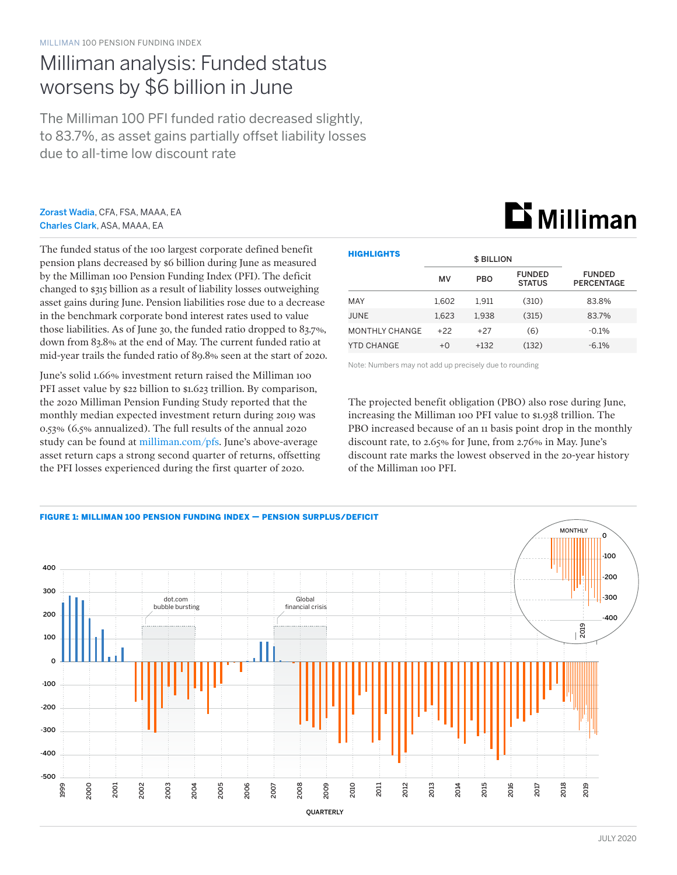## Milliman analysis: Funded status worsens by \$6 billion in June

The Milliman 100 PFI funded ratio decreased slightly, to 83.7%, as asset gains partially offset liability losses due to all-time low discount rate

#### Zorast Wadia, CFA, FSA, MAAA, EA Charles Clark, ASA, MAAA, EA

The funded status of the 100 largest corporate defined benefit pension plans decreased by \$6 billion during June as measured by the Milliman 100 Pension Funding Index (PFI). The deficit changed to \$315 billion as a result of liability losses outweighing asset gains during June. Pension liabilities rose due to a decrease in the benchmark corporate bond interest rates used to value those liabilities. As of June 30, the funded ratio dropped to 83.7%, down from 83.8% at the end of May. The current funded ratio at mid-year trails the funded ratio of 89.8% seen at the start of 2020.

June's solid 1.66% investment return raised the Milliman 100 PFI asset value by \$22 billion to \$1.623 trillion. By comparison, the 2020 Milliman Pension Funding Study reported that the monthly median expected investment return during 2019 was 0.53% (6.5% annualized). The full results of the annual 2020 study can be found at [milliman.com/pfs](http://milliman.com/pfs). June's above-average asset return caps a strong second quarter of returns, offsetting the PFI losses experienced during the first quarter of 2020.

| <b>HIGHLIGHTS</b>     |       | <b>\$ BILLION</b> |                                |                                    |
|-----------------------|-------|-------------------|--------------------------------|------------------------------------|
|                       | MV    | <b>PBO</b>        | <b>FUNDED</b><br><b>STATUS</b> | <b>FUNDED</b><br><b>PERCENTAGE</b> |
| MAY                   | 1.602 | 1.911             | (310)                          | 83.8%                              |
| JUNE                  | 1.623 | 1.938             | (315)                          | 83.7%                              |
| <b>MONTHLY CHANGE</b> | $+22$ | $+27$             | (6)                            | $-0.1%$                            |
| YTD CHANGE            | $+0$  | $+132$            | (132)                          | $-6.1\%$                           |

Note: Numbers may not add up precisely due to rounding

The projected benefit obligation (PBO) also rose during June, increasing the Milliman 100 PFI value to \$1.938 trillion. The PBO increased because of an 11 basis point drop in the monthly discount rate, to 2.65% for June, from 2.76% in May. June's discount rate marks the lowest observed in the 20-year history of the Milliman 100 PFI.



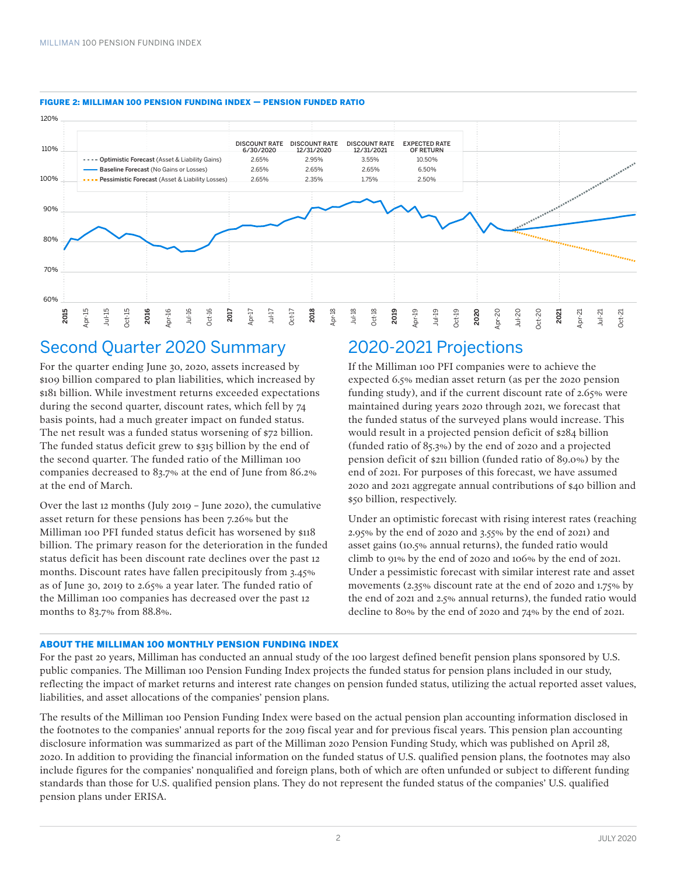

#### FIGURE 2: MILLIMAN 100 PENSION FUNDING INDEX — PENSION FUNDED RATIO

### Second Quarter 2020 Summary

For the quarter ending June 30, 2020, assets increased by \$109 billion compared to plan liabilities, which increased by \$181 billion. While investment returns exceeded expectations during the second quarter, discount rates, which fell by 74 basis points, had a much greater impact on funded status. The net result was a funded status worsening of \$72 billion. The funded status deficit grew to \$315 billion by the end of the second quarter. The funded ratio of the Milliman 100 companies decreased to 83.7% at the end of June from 86.2% at the end of March.

Over the last 12 months (July 2019 – June 2020), the cumulative asset return for these pensions has been 7.26% but the Milliman 100 PFI funded status deficit has worsened by \$118 billion. The primary reason for the deterioration in the funded status deficit has been discount rate declines over the past 12 months. Discount rates have fallen precipitously from 3.45% as of June 30, 2019 to 2.65% a year later. The funded ratio of the Milliman 100 companies has decreased over the past 12 months to 83.7% from 88.8%.

## 2020-2021 Projections

If the Milliman 100 PFI companies were to achieve the expected 6.5% median asset return (as per the 2020 pension funding study), and if the current discount rate of 2.65% were maintained during years 2020 through 2021, we forecast that the funded status of the surveyed plans would increase. This would result in a projected pension deficit of \$284 billion (funded ratio of 85.3%) by the end of 2020 and a projected pension deficit of \$211 billion (funded ratio of 89.0%) by the end of 2021. For purposes of this forecast, we have assumed 2020 and 2021 aggregate annual contributions of \$40 billion and \$50 billion, respectively.

Under an optimistic forecast with rising interest rates (reaching 2.95% by the end of 2020 and 3.55% by the end of 2021) and asset gains (10.5% annual returns), the funded ratio would climb to 91% by the end of 2020 and 106% by the end of 2021. Under a pessimistic forecast with similar interest rate and asset movements (2.35% discount rate at the end of 2020 and 1.75% by the end of 2021 and 2.5% annual returns), the funded ratio would decline to 80% by the end of 2020 and 74% by the end of 2021.

#### ABOUT THE MILLIMAN 100 MONTHLY PENSION FUNDING INDEX

For the past 20 years, Milliman has conducted an annual study of the 100 largest defined benefit pension plans sponsored by U.S. public companies. The Milliman 100 Pension Funding Index projects the funded status for pension plans included in our study, reflecting the impact of market returns and interest rate changes on pension funded status, utilizing the actual reported asset values, liabilities, and asset allocations of the companies' pension plans.

The results of the Milliman 100 Pension Funding Index were based on the actual pension plan accounting information disclosed in the footnotes to the companies' annual reports for the 2019 fiscal year and for previous fiscal years. This pension plan accounting disclosure information was summarized as part of the Milliman 2020 Pension Funding Study, which was published on April 28, 2020. In addition to providing the financial information on the funded status of U.S. qualified pension plans, the footnotes may also include figures for the companies' nonqualified and foreign plans, both of which are often unfunded or subject to different funding standards than those for U.S. qualified pension plans. They do not represent the funded status of the companies' U.S. qualified pension plans under ERISA.